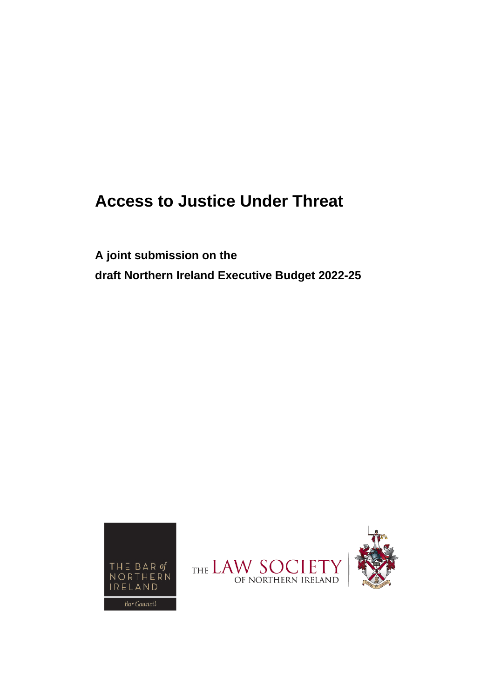# **Access to Justice Under Threat**

**A joint submission on the draft Northern Ireland Executive Budget 2022-25** 



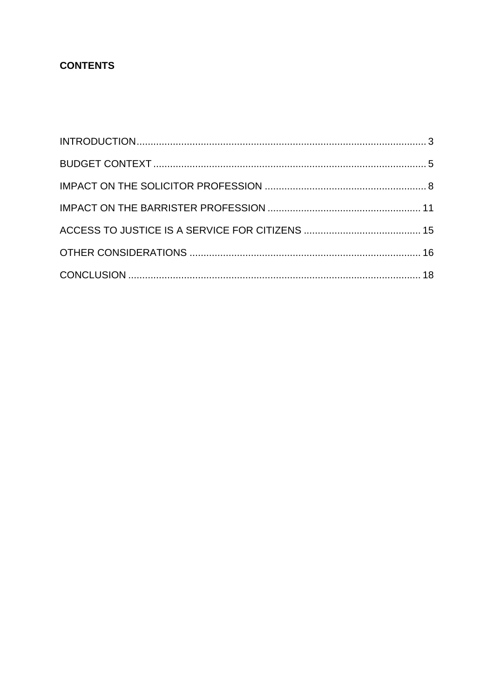# **CONTENTS**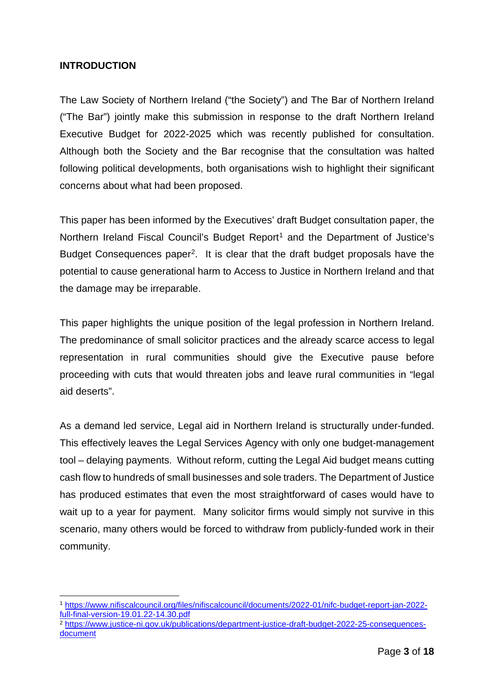#### <span id="page-2-0"></span>**INTRODUCTION**

The Law Society of Northern Ireland ("the Society") and The Bar of Northern Ireland ("The Bar") jointly make this submission in response to the draft Northern Ireland Executive Budget for 2022-2025 which was recently published for consultation. Although both the Society and the Bar recognise that the consultation was halted following political developments, both organisations wish to highlight their significant concerns about what had been proposed.

This paper has been informed by the Executives' draft Budget consultation paper, the Northern Ireland Fiscal Council's Budget Report<sup>[1](#page-2-1)</sup> and the Department of Justice's Budget Consequences paper[2](#page-2-2). It is clear that the draft budget proposals have the potential to cause generational harm to Access to Justice in Northern Ireland and that the damage may be irreparable.

This paper highlights the unique position of the legal profession in Northern Ireland. The predominance of small solicitor practices and the already scarce access to legal representation in rural communities should give the Executive pause before proceeding with cuts that would threaten jobs and leave rural communities in "legal aid deserts".

As a demand led service, Legal aid in Northern Ireland is structurally under-funded. This effectively leaves the Legal Services Agency with only one budget-management tool – delaying payments. Without reform, cutting the Legal Aid budget means cutting cash flow to hundreds of small businesses and sole traders. The Department of Justice has produced estimates that even the most straightforward of cases would have to wait up to a year for payment. Many solicitor firms would simply not survive in this scenario, many others would be forced to withdraw from publicly-funded work in their community.

<span id="page-2-1"></span><sup>1</sup> [https://www.nifiscalcouncil.org/files/nifiscalcouncil/documents/2022-01/nifc-budget-report-jan-2022](https://www.nifiscalcouncil.org/files/nifiscalcouncil/documents/2022-01/nifc-budget-report-jan-2022-full-final-version-19.01.22-14.30.pdf) [full-final-version-19.01.22-14.30.pdf](https://www.nifiscalcouncil.org/files/nifiscalcouncil/documents/2022-01/nifc-budget-report-jan-2022-full-final-version-19.01.22-14.30.pdf)

<span id="page-2-2"></span><sup>&</sup>lt;sup>2</sup> [https://www.justice-ni.gov.uk/publications/department-justice-draft-budget-2022-25-consequences](https://www.justice-ni.gov.uk/publications/department-justice-draft-budget-2022-25-consequences-document)[document](https://www.justice-ni.gov.uk/publications/department-justice-draft-budget-2022-25-consequences-document)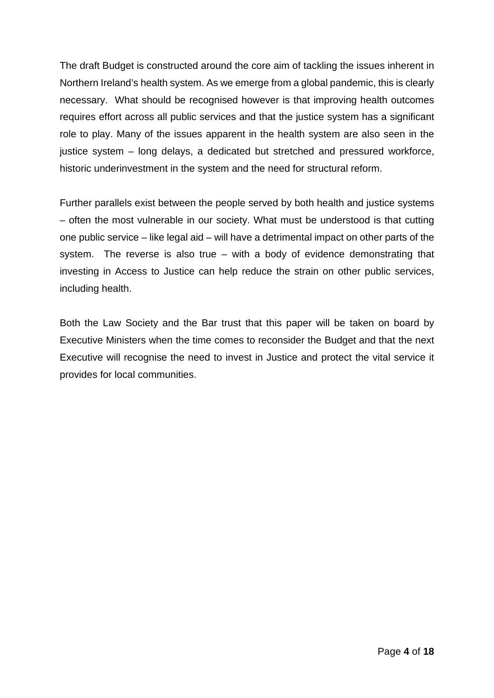The draft Budget is constructed around the core aim of tackling the issues inherent in Northern Ireland's health system. As we emerge from a global pandemic, this is clearly necessary. What should be recognised however is that improving health outcomes requires effort across all public services and that the justice system has a significant role to play. Many of the issues apparent in the health system are also seen in the justice system – long delays, a dedicated but stretched and pressured workforce, historic underinvestment in the system and the need for structural reform.

Further parallels exist between the people served by both health and justice systems – often the most vulnerable in our society. What must be understood is that cutting one public service – like legal aid – will have a detrimental impact on other parts of the system. The reverse is also true – with a body of evidence demonstrating that investing in Access to Justice can help reduce the strain on other public services, including health.

Both the Law Society and the Bar trust that this paper will be taken on board by Executive Ministers when the time comes to reconsider the Budget and that the next Executive will recognise the need to invest in Justice and protect the vital service it provides for local communities.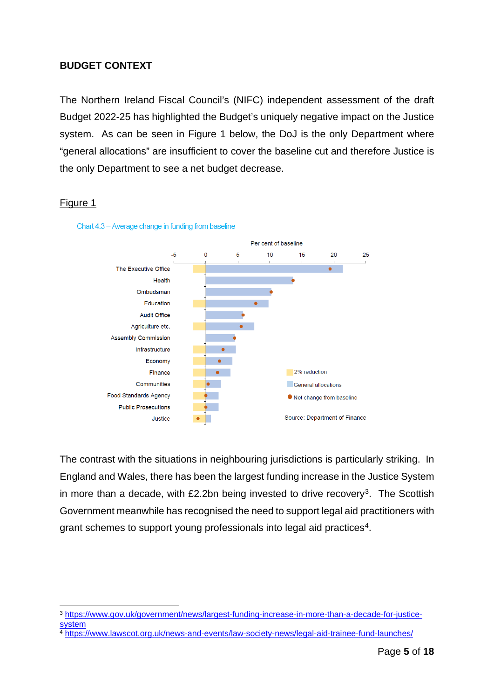#### <span id="page-4-0"></span>**BUDGET CONTEXT**

The Northern Ireland Fiscal Council's (NIFC) independent assessment of the draft Budget 2022-25 has highlighted the Budget's uniquely negative impact on the Justice system. As can be seen in Figure 1 below, the DoJ is the only Department where "general allocations" are insufficient to cover the baseline cut and therefore Justice is the only Department to see a net budget decrease.

#### Figure 1



Chart 4.3 - Average change in funding from baseline

The contrast with the situations in neighbouring jurisdictions is particularly striking. In England and Wales, there has been the largest funding increase in the Justice System in more than a decade, with  $£2.2$ bn being invested to drive recovery<sup>3</sup>. The Scottish Government meanwhile has recognised the need to support legal aid practitioners with grant schemes to support young professionals into legal aid practices<sup>4</sup>.

<span id="page-4-1"></span><sup>3</sup> [https://www.gov.uk/government/news/largest-funding-increase-in-more-than-a-decade-for-justice](https://www.gov.uk/government/news/largest-funding-increase-in-more-than-a-decade-for-justice-system)**[system](https://www.gov.uk/government/news/largest-funding-increase-in-more-than-a-decade-for-justice-system)** 

<span id="page-4-2"></span><sup>4</sup> <https://www.lawscot.org.uk/news-and-events/law-society-news/legal-aid-trainee-fund-launches/>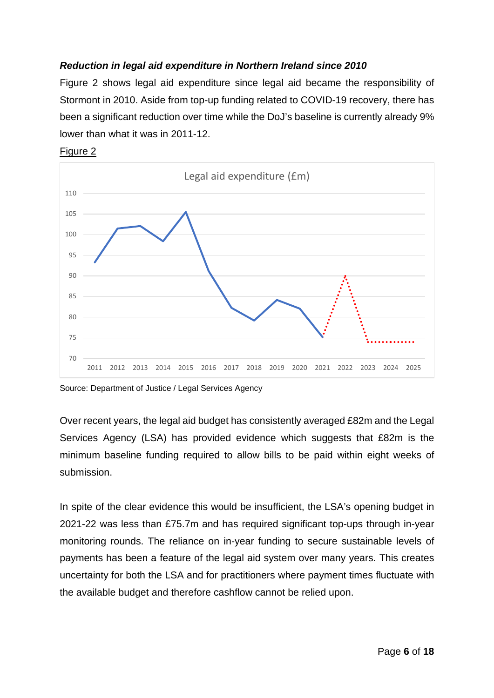# *Reduction in legal aid expenditure in Northern Ireland since 2010*

Figure 2 shows legal aid expenditure since legal aid became the responsibility of Stormont in 2010. Aside from top-up funding related to COVID-19 recovery, there has been a significant reduction over time while the DoJ's baseline is currently already 9% lower than what it was in 2011-12.





Source: Department of Justice / Legal Services Agency

Over recent years, the legal aid budget has consistently averaged £82m and the Legal Services Agency (LSA) has provided evidence which suggests that £82m is the minimum baseline funding required to allow bills to be paid within eight weeks of submission.

In spite of the clear evidence this would be insufficient, the LSA's opening budget in 2021-22 was less than £75.7m and has required significant top-ups through in-year monitoring rounds. The reliance on in-year funding to secure sustainable levels of payments has been a feature of the legal aid system over many years. This creates uncertainty for both the LSA and for practitioners where payment times fluctuate with the available budget and therefore cashflow cannot be relied upon.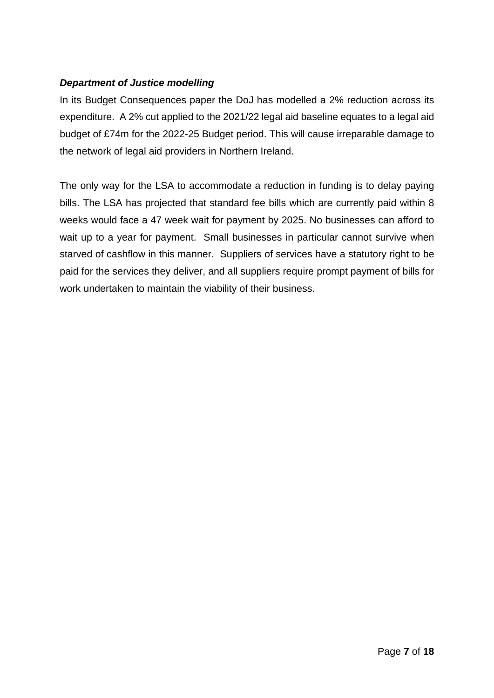# *Department of Justice modelling*

In its Budget Consequences paper the DoJ has modelled a 2% reduction across its expenditure. A 2% cut applied to the 2021/22 legal aid baseline equates to a legal aid budget of £74m for the 2022-25 Budget period. This will cause irreparable damage to the network of legal aid providers in Northern Ireland.

The only way for the LSA to accommodate a reduction in funding is to delay paying bills. The LSA has projected that standard fee bills which are currently paid within 8 weeks would face a 47 week wait for payment by 2025. No businesses can afford to wait up to a year for payment. Small businesses in particular cannot survive when starved of cashflow in this manner. Suppliers of services have a statutory right to be paid for the services they deliver, and all suppliers require prompt payment of bills for work undertaken to maintain the viability of their business.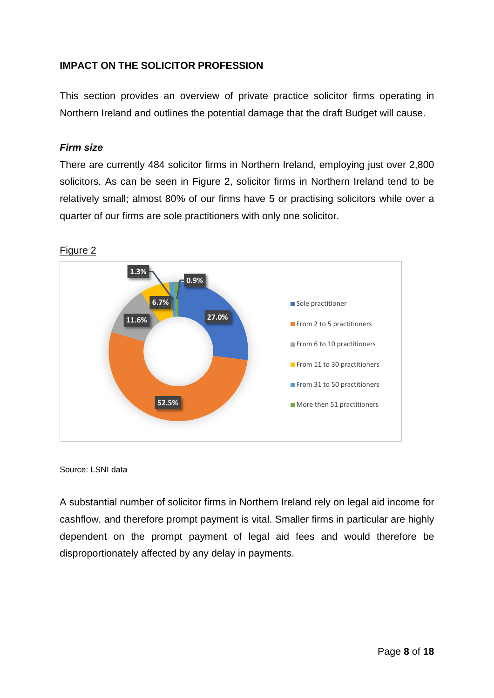# <span id="page-7-0"></span>**IMPACT ON THE SOLICITOR PROFESSION**

This section provides an overview of private practice solicitor firms operating in Northern Ireland and outlines the potential damage that the draft Budget will cause.

#### *Firm size*

There are currently 484 solicitor firms in Northern Ireland, employing just over 2,800 solicitors. As can be seen in Figure 2, solicitor firms in Northern Ireland tend to be relatively small; almost 80% of our firms have 5 or practising solicitors while over a quarter of our firms are sole practitioners with only one solicitor.



Figure 2

Source: LSNI data

A substantial number of solicitor firms in Northern Ireland rely on legal aid income for cashflow, and therefore prompt payment is vital. Smaller firms in particular are highly dependent on the prompt payment of legal aid fees and would therefore be disproportionately affected by any delay in payments.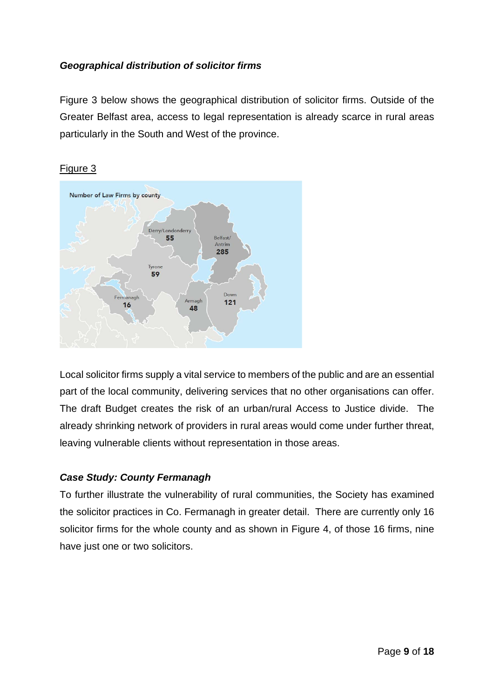# *Geographical distribution of solicitor firms*

Figure 3 below shows the geographical distribution of solicitor firms. Outside of the Greater Belfast area, access to legal representation is already scarce in rural areas particularly in the South and West of the province.



#### Figure 3

Local solicitor firms supply a vital service to members of the public and are an essential part of the local community, delivering services that no other organisations can offer. The draft Budget creates the risk of an urban/rural Access to Justice divide. The already shrinking network of providers in rural areas would come under further threat, leaving vulnerable clients without representation in those areas.

# *Case Study: County Fermanagh*

To further illustrate the vulnerability of rural communities, the Society has examined the solicitor practices in Co. Fermanagh in greater detail. There are currently only 16 solicitor firms for the whole county and as shown in Figure 4, of those 16 firms, nine have just one or two solicitors.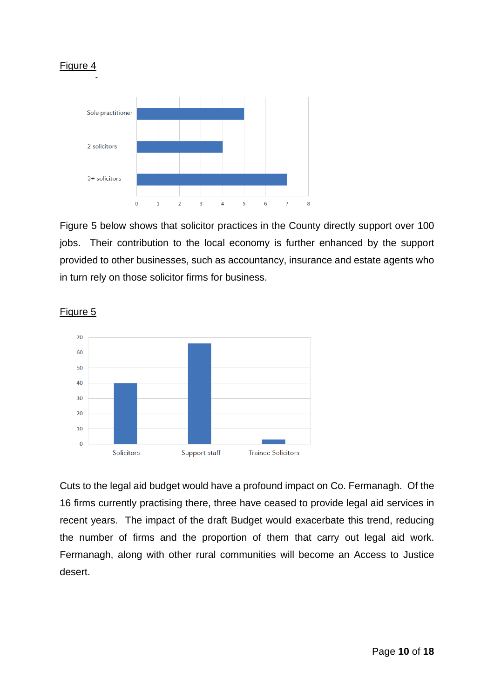

Figure 5 below shows that solicitor practices in the County directly support over 100 jobs. Their contribution to the local economy is further enhanced by the support provided to other businesses, such as accountancy, insurance and estate agents who in turn rely on those solicitor firms for business.



Figure 5

Cuts to the legal aid budget would have a profound impact on Co. Fermanagh. Of the 16 firms currently practising there, three have ceased to provide legal aid services in recent years. The impact of the draft Budget would exacerbate this trend, reducing the number of firms and the proportion of them that carry out legal aid work. Fermanagh, along with other rural communities will become an Access to Justice desert.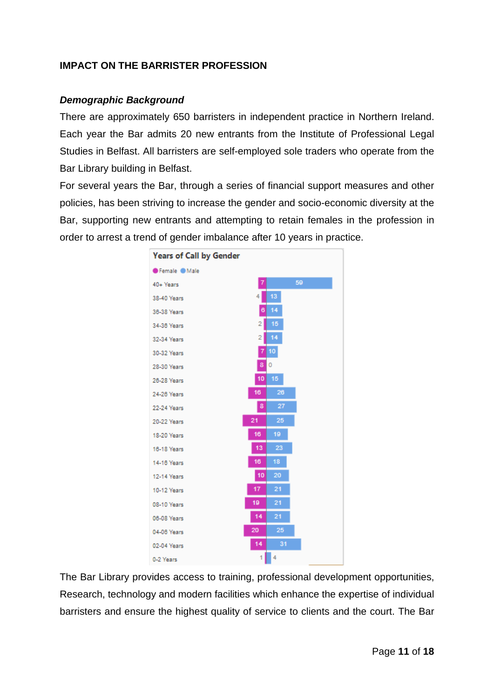# <span id="page-10-0"></span>**IMPACT ON THE BARRISTER PROFESSION**

#### *Demographic Background*

There are approximately 650 barristers in independent practice in Northern Ireland. Each year the Bar admits 20 new entrants from the Institute of Professional Legal Studies in Belfast. All barristers are self-employed sole traders who operate from the Bar Library building in Belfast.

For several years the Bar, through a series of financial support measures and other policies, has been striving to increase the gender and socio-economic diversity at the Bar, supporting new entrants and attempting to retain females in the profession in order to arrest a trend of gender imbalance after 10 years in practice.



The Bar Library provides access to training, professional development opportunities, Research, technology and modern facilities which enhance the expertise of individual barristers and ensure the highest quality of service to clients and the court. The Bar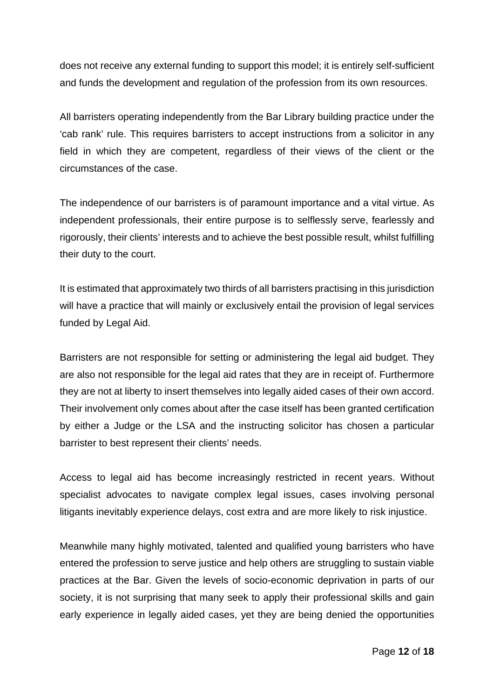does not receive any external funding to support this model; it is entirely self-sufficient and funds the development and regulation of the profession from its own resources.

All barristers operating independently from the Bar Library building practice under the 'cab rank' rule. This requires barristers to accept instructions from a solicitor in any field in which they are competent, regardless of their views of the client or the circumstances of the case.

The independence of our barristers is of paramount importance and a vital virtue. As independent professionals, their entire purpose is to selflessly serve, fearlessly and rigorously, their clients' interests and to achieve the best possible result, whilst fulfilling their duty to the court.

It is estimated that approximately two thirds of all barristers practising in this jurisdiction will have a practice that will mainly or exclusively entail the provision of legal services funded by Legal Aid.

Barristers are not responsible for setting or administering the legal aid budget. They are also not responsible for the legal aid rates that they are in receipt of. Furthermore they are not at liberty to insert themselves into legally aided cases of their own accord. Their involvement only comes about after the case itself has been granted certification by either a Judge or the LSA and the instructing solicitor has chosen a particular barrister to best represent their clients' needs.

Access to legal aid has become increasingly restricted in recent years. Without specialist advocates to navigate complex legal issues, cases involving personal litigants inevitably experience delays, cost extra and are more likely to risk injustice.

Meanwhile many highly motivated, talented and qualified young barristers who have entered the profession to serve justice and help others are struggling to sustain viable practices at the Bar. Given the levels of socio-economic deprivation in parts of our society, it is not surprising that many seek to apply their professional skills and gain early experience in legally aided cases, yet they are being denied the opportunities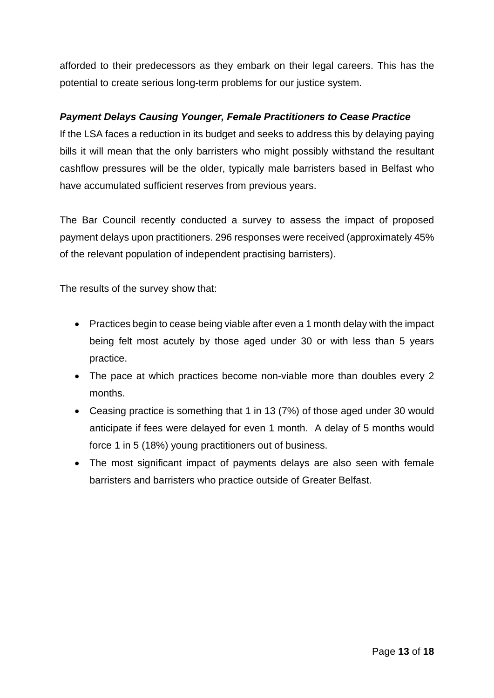afforded to their predecessors as they embark on their legal careers. This has the potential to create serious long-term problems for our justice system.

# *Payment Delays Causing Younger, Female Practitioners to Cease Practice*

If the LSA faces a reduction in its budget and seeks to address this by delaying paying bills it will mean that the only barristers who might possibly withstand the resultant cashflow pressures will be the older, typically male barristers based in Belfast who have accumulated sufficient reserves from previous years.

The Bar Council recently conducted a survey to assess the impact of proposed payment delays upon practitioners. 296 responses were received (approximately 45% of the relevant population of independent practising barristers).

The results of the survey show that:

- Practices begin to cease being viable after even a 1 month delay with the impact being felt most acutely by those aged under 30 or with less than 5 years practice.
- The pace at which practices become non-viable more than doubles every 2 months.
- Ceasing practice is something that 1 in 13 (7%) of those aged under 30 would anticipate if fees were delayed for even 1 month. A delay of 5 months would force 1 in 5 (18%) young practitioners out of business.
- The most significant impact of payments delays are also seen with female barristers and barristers who practice outside of Greater Belfast.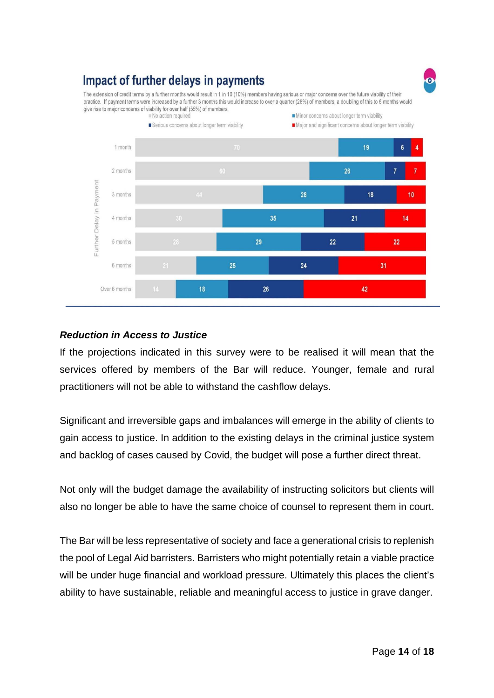# Impact of further delays in payments

The extension of credit terms by a further months would result in 1 in 10 (10%) members having serious or major concerns over the future viability of their practice. If payment terms were increased by a further 3 months this would increase to over a quarter (28%) of members, a doubling of this to 6 months would give rise to major concerns of viability for over half (55%) of members.



# *Reduction in Access to Justice*

If the projections indicated in this survey were to be realised it will mean that the services offered by members of the Bar will reduce. Younger, female and rural practitioners will not be able to withstand the cashflow delays.

Significant and irreversible gaps and imbalances will emerge in the ability of clients to gain access to justice. In addition to the existing delays in the criminal justice system and backlog of cases caused by Covid, the budget will pose a further direct threat.

Not only will the budget damage the availability of instructing solicitors but clients will also no longer be able to have the same choice of counsel to represent them in court.

The Bar will be less representative of society and face a generational crisis to replenish the pool of Legal Aid barristers. Barristers who might potentially retain a viable practice will be under huge financial and workload pressure. Ultimately this places the client's ability to have sustainable, reliable and meaningful access to justice in grave danger.

Page **14** of **18**

 $\bullet$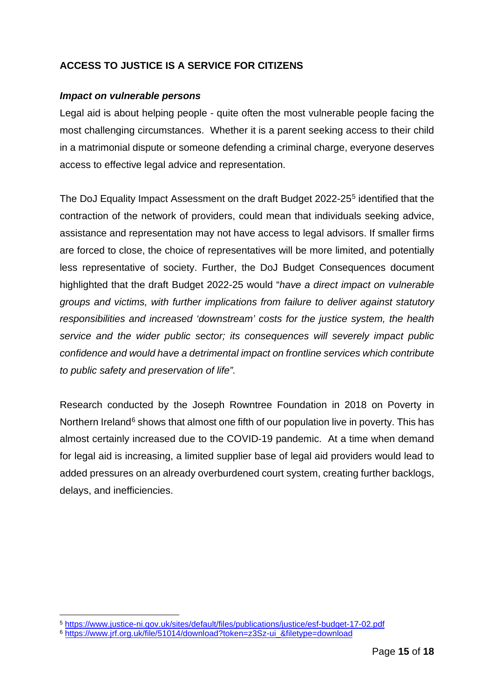# <span id="page-14-0"></span>**ACCESS TO JUSTICE IS A SERVICE FOR CITIZENS**

#### *Impact on vulnerable persons*

Legal aid is about helping people - quite often the most vulnerable people facing the most challenging circumstances. Whether it is a parent seeking access to their child in a matrimonial dispute or someone defending a criminal charge, everyone deserves access to effective legal advice and representation.

The DoJ Equality Impact Assessment on the draft Budget 2022-25[5](#page-14-1) identified that the contraction of the network of providers, could mean that individuals seeking advice, assistance and representation may not have access to legal advisors. If smaller firms are forced to close, the choice of representatives will be more limited, and potentially less representative of society. Further, the DoJ Budget Consequences document highlighted that the draft Budget 2022-25 would "*have a direct impact on vulnerable groups and victims, with further implications from failure to deliver against statutory responsibilities and increased 'downstream' costs for the justice system, the health service and the wider public sector; its consequences will severely impact public confidence and would have a detrimental impact on frontline services which contribute to public safety and preservation of life".* 

Research conducted by the Joseph Rowntree Foundation in 2018 on Poverty in Northern Ireland<sup>[6](#page-14-2)</sup> shows that almost one fifth of our population live in poverty. This has almost certainly increased due to the COVID-19 pandemic. At a time when demand for legal aid is increasing, a limited supplier base of legal aid providers would lead to added pressures on an already overburdened court system, creating further backlogs, delays, and inefficiencies.

<span id="page-14-1"></span><sup>5</sup> <https://www.justice-ni.gov.uk/sites/default/files/publications/justice/esf-budget-17-02.pdf>

<span id="page-14-2"></span><sup>6</sup> [https://www.jrf.org.uk/file/51014/download?token=z3Sz-ui\\_&filetype=download](https://www.jrf.org.uk/file/51014/download?token=z3Sz-ui_&filetype=download)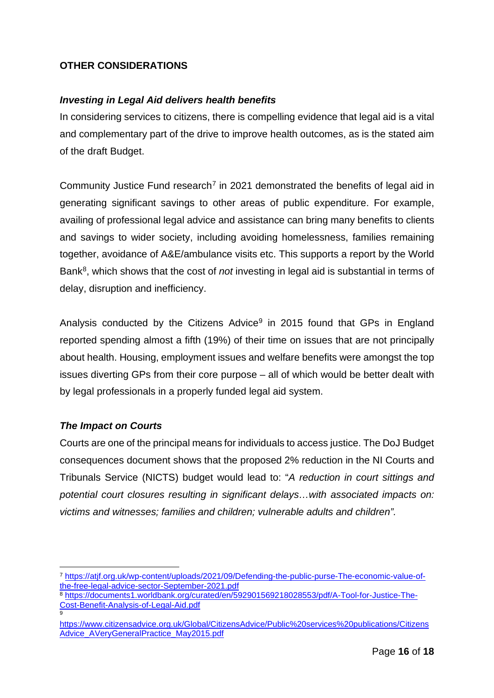# <span id="page-15-0"></span>**OTHER CONSIDERATIONS**

# *Investing in Legal Aid delivers health benefits*

In considering services to citizens, there is compelling evidence that legal aid is a vital and complementary part of the drive to improve health outcomes, as is the stated aim of the draft Budget.

Community Justice Fund research<sup>[7](#page-15-1)</sup> in 2021 demonstrated the benefits of legal aid in generating significant savings to other areas of public expenditure. For example, availing of professional legal advice and assistance can bring many benefits to clients and savings to wider society, including avoiding homelessness, families remaining together, avoidance of A&E/ambulance visits etc. This supports a report by the World Bank[8](#page-15-2), which shows that the cost of *not* investing in legal aid is substantial in terms of delay, disruption and inefficiency.

Analysis conducted by the Citizens Advice<sup>[9](#page-15-3)</sup> in 2015 found that GPs in England reported spending almost a fifth (19%) of their time on issues that are not principally about health. Housing, employment issues and welfare benefits were amongst the top issues diverting GPs from their core purpose – all of which would be better dealt with by legal professionals in a properly funded legal aid system.

# *The Impact on Courts*

Courts are one of the principal means for individuals to access justice. The DoJ Budget consequences document shows that the proposed 2% reduction in the NI Courts and Tribunals Service (NICTS) budget would lead to: "*A reduction in court sittings and potential court closures resulting in significant delays…with associated impacts on: victims and witnesses; families and children; vulnerable adults and children".* 

<span id="page-15-1"></span><sup>7</sup> [https://atjf.org.uk/wp-content/uploads/2021/09/Defending-the-public-purse-The-economic-value-of](https://atjf.org.uk/wp-content/uploads/2021/09/Defending-the-public-purse-The-economic-value-of-the-free-legal-advice-sector-September-2021.pdf)[the-free-legal-advice-sector-September-2021.pdf](https://atjf.org.uk/wp-content/uploads/2021/09/Defending-the-public-purse-The-economic-value-of-the-free-legal-advice-sector-September-2021.pdf)

<span id="page-15-2"></span><sup>8</sup> [https://documents1.worldbank.org/curated/en/592901569218028553/pdf/A-Tool-for-Justice-The-](https://documents1.worldbank.org/curated/en/592901569218028553/pdf/A-Tool-for-Justice-The-Cost-Benefit-Analysis-of-Legal-Aid.pdf)[Cost-Benefit-Analysis-of-Legal-Aid.pdf](https://documents1.worldbank.org/curated/en/592901569218028553/pdf/A-Tool-for-Justice-The-Cost-Benefit-Analysis-of-Legal-Aid.pdf) 9

<span id="page-15-3"></span>[https://www.citizensadvice.org.uk/Global/CitizensAdvice/Public%20services%20publications/Citizens](https://www.citizensadvice.org.uk/Global/CitizensAdvice/Public%20services%20publications/CitizensAdvice_AVeryGeneralPractice_May2015.pdf) Advice AVeryGeneralPractice May2015.pdf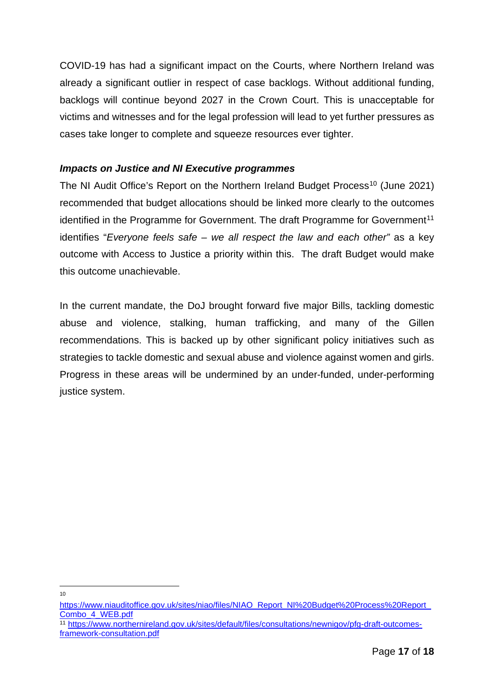COVID-19 has had a significant impact on the Courts, where Northern Ireland was already a significant outlier in respect of case backlogs. Without additional funding, backlogs will continue beyond 2027 in the Crown Court. This is unacceptable for victims and witnesses and for the legal profession will lead to yet further pressures as cases take longer to complete and squeeze resources ever tighter.

# *Impacts on Justice and NI Executive programmes*

The NI Audit Office's Report on the Northern Ireland Budget Process<sup>[10](#page-16-0)</sup> (June 2021) recommended that budget allocations should be linked more clearly to the outcomes identified in the Programme for Government. The draft Programme for Government<sup>11</sup> identifies "*Everyone feels safe – we all respect the law and each other"* as a key outcome with Access to Justice a priority within this. The draft Budget would make this outcome unachievable.

In the current mandate, the DoJ brought forward five major Bills, tackling domestic abuse and violence, stalking, human trafficking, and many of the Gillen recommendations. This is backed up by other significant policy initiatives such as strategies to tackle domestic and sexual abuse and violence against women and girls. Progress in these areas will be undermined by an under-funded, under-performing justice system.

 $10<sup>10</sup>$ 

<span id="page-16-0"></span>https://www.niauditoffice.gov.uk/sites/niao/files/NIAO\_Report\_NI%20Budget%20Process%20Report [Combo\\_4\\_WEB.pdf](https://www.niauditoffice.gov.uk/sites/niao/files/NIAO_Report_NI%20Budget%20Process%20Report_Combo_4_WEB.pdf)

<span id="page-16-1"></span><sup>11</sup> [https://www.northernireland.gov.uk/sites/default/files/consultations/newnigov/pfg-draft-outcomes](https://www.northernireland.gov.uk/sites/default/files/consultations/newnigov/pfg-draft-outcomes-framework-consultation.pdf)[framework-consultation.pdf](https://www.northernireland.gov.uk/sites/default/files/consultations/newnigov/pfg-draft-outcomes-framework-consultation.pdf)